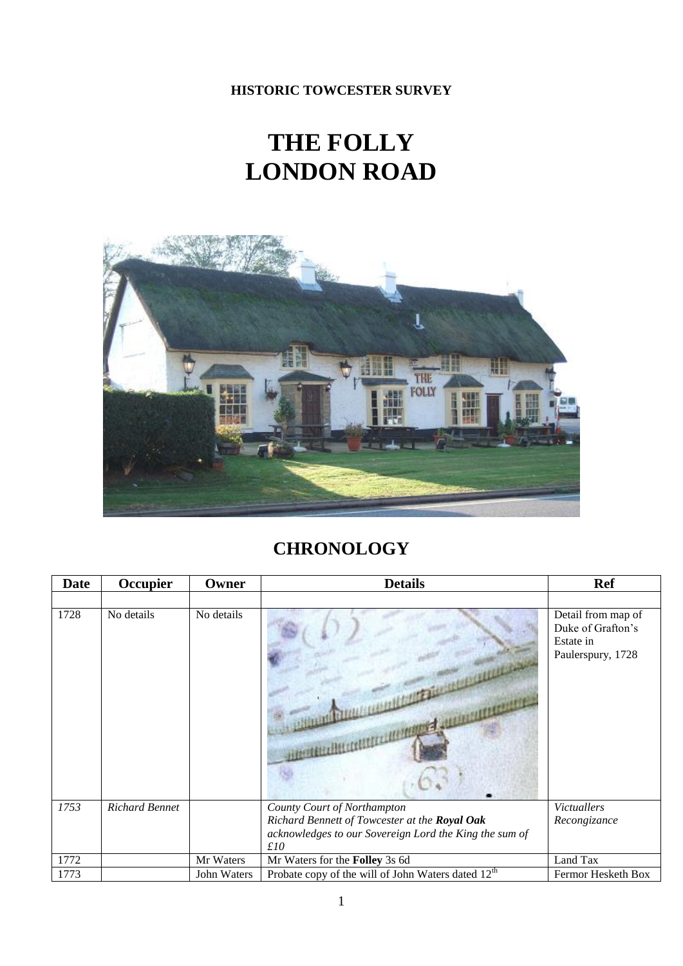**HISTORIC TOWCESTER SURVEY**

## **THE FOLLY LONDON ROAD**



## **CHRONOLOGY**

| <b>Date</b> | Occupier              | Owner       | <b>Details</b>                                                 | <b>Ref</b>                                                                |
|-------------|-----------------------|-------------|----------------------------------------------------------------|---------------------------------------------------------------------------|
|             |                       |             |                                                                |                                                                           |
| 1728        | No details            | No details  |                                                                | Detail from map of<br>Duke of Grafton's<br>Estate in<br>Paulerspury, 1728 |
| 1753        | <b>Richard Bennet</b> |             | County Court of Northampton                                    | <b>Victuallers</b>                                                        |
|             |                       |             | Richard Bennett of Towcester at the Royal Oak                  | Recongizance                                                              |
|             |                       |             | acknowledges to our Sovereign Lord the King the sum of         |                                                                           |
| 1772        |                       | Mr Waters   | f10                                                            | Land Tax                                                                  |
|             |                       |             | Mr Waters for the Folley 3s 6d                                 |                                                                           |
| 1773        |                       | John Waters | Probate copy of the will of John Waters dated 12 <sup>th</sup> | Fermor Hesketh Box                                                        |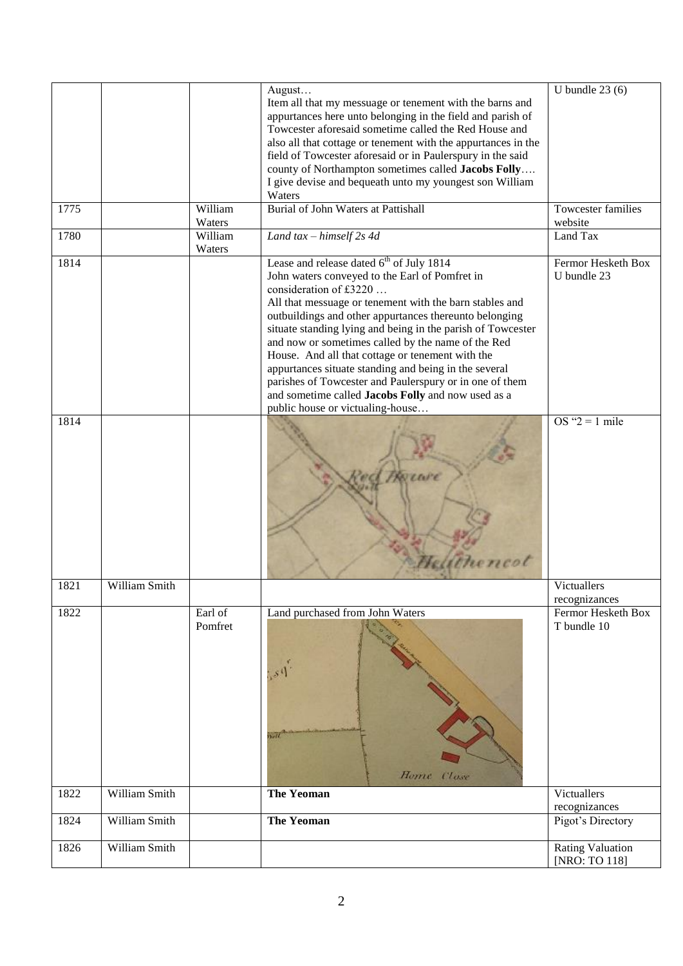|      |               |         | August                                                        | U bundle $23(6)$          |
|------|---------------|---------|---------------------------------------------------------------|---------------------------|
|      |               |         | Item all that my messuage or tenement with the barns and      |                           |
|      |               |         | appurtances here unto belonging in the field and parish of    |                           |
|      |               |         | Towcester aforesaid sometime called the Red House and         |                           |
|      |               |         | also all that cottage or tenement with the appurtances in the |                           |
|      |               |         | field of Towcester aforesaid or in Paulerspury in the said    |                           |
|      |               |         | county of Northampton sometimes called Jacobs Folly           |                           |
|      |               |         | I give devise and bequeath unto my youngest son William       |                           |
|      |               |         | Waters                                                        |                           |
| 1775 |               | William | <b>Burial of John Waters at Pattishall</b>                    | <b>Towcester families</b> |
|      |               | Waters  |                                                               | website                   |
| 1780 |               | William | Land $tax - himself 2s 4d$                                    | Land Tax                  |
|      |               | Waters  |                                                               |                           |
| 1814 |               |         | Lease and release dated $6th$ of July 1814                    | Fermor Hesketh Box        |
|      |               |         | John waters conveyed to the Earl of Pomfret in                | U bundle 23               |
|      |               |         | consideration of £3220                                        |                           |
|      |               |         | All that messuage or tenement with the barn stables and       |                           |
|      |               |         | outbuildings and other appurtances thereunto belonging        |                           |
|      |               |         | situate standing lying and being in the parish of Towcester   |                           |
|      |               |         | and now or sometimes called by the name of the Red            |                           |
|      |               |         | House. And all that cottage or tenement with the              |                           |
|      |               |         | appurtances situate standing and being in the several         |                           |
|      |               |         | parishes of Towcester and Paulerspury or in one of them       |                           |
|      |               |         | and sometime called Jacobs Folly and now used as a            |                           |
|      |               |         | public house or victualing-house                              |                           |
| 1814 |               |         |                                                               | OS " $2 = 1$ mile         |
|      |               |         |                                                               |                           |
|      |               |         |                                                               |                           |
|      |               |         |                                                               |                           |
|      |               |         |                                                               |                           |
|      |               |         | to care                                                       |                           |
|      |               |         |                                                               |                           |
|      |               |         |                                                               |                           |
|      |               |         |                                                               |                           |
|      |               |         |                                                               |                           |
|      |               |         |                                                               |                           |
|      |               |         |                                                               |                           |
|      |               |         |                                                               |                           |
| 1821 | William Smith |         |                                                               | Victuallers               |
|      |               |         |                                                               | recognizances             |
| 1822 |               | Earl of | Land purchased from John Waters                               | Fermor Hesketh Box        |
|      |               | Pomfret |                                                               | T bundle 10               |
|      |               |         |                                                               |                           |
|      |               |         |                                                               |                           |
|      |               |         | S <sub>0</sub>                                                |                           |
|      |               |         |                                                               |                           |
|      |               |         |                                                               |                           |
|      |               |         |                                                               |                           |
|      |               |         |                                                               |                           |
|      |               |         | 15.77                                                         |                           |
|      |               |         |                                                               |                           |
|      |               |         |                                                               |                           |
|      |               |         | Home Clase                                                    |                           |
| 1822 | William Smith |         | <b>The Yeoman</b>                                             | Victuallers               |
|      |               |         |                                                               | recognizances             |
| 1824 | William Smith |         | <b>The Yeoman</b>                                             | Pigot's Directory         |
|      |               |         |                                                               |                           |
| 1826 | William Smith |         |                                                               | <b>Rating Valuation</b>   |
|      |               |         |                                                               | [NRO: TO 118]             |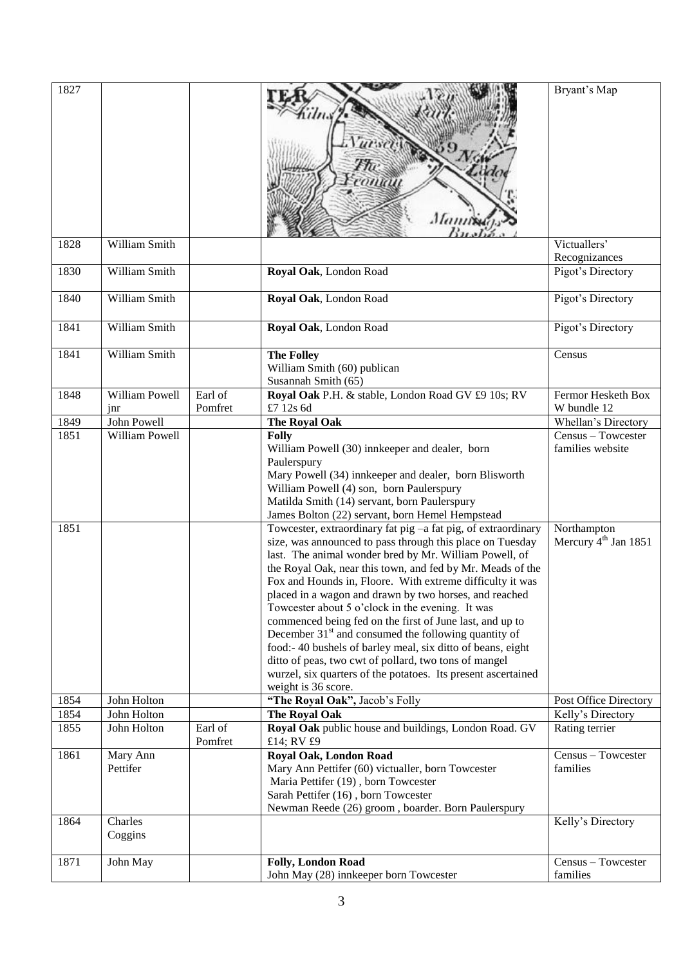| 1827         |                       |                    | Mannis                                                                                                                                                                                                                                                                                                                                                                                                                                                                                                                                                                                                                                                                                                                                                                                                                                                                                                                                                                                                                                                      | Bryant's Map                                                                              |
|--------------|-----------------------|--------------------|-------------------------------------------------------------------------------------------------------------------------------------------------------------------------------------------------------------------------------------------------------------------------------------------------------------------------------------------------------------------------------------------------------------------------------------------------------------------------------------------------------------------------------------------------------------------------------------------------------------------------------------------------------------------------------------------------------------------------------------------------------------------------------------------------------------------------------------------------------------------------------------------------------------------------------------------------------------------------------------------------------------------------------------------------------------|-------------------------------------------------------------------------------------------|
| 1828         | William Smith         |                    |                                                                                                                                                                                                                                                                                                                                                                                                                                                                                                                                                                                                                                                                                                                                                                                                                                                                                                                                                                                                                                                             | Victuallers'<br>Recognizances                                                             |
| 1830         | William Smith         |                    | Royal Oak, London Road                                                                                                                                                                                                                                                                                                                                                                                                                                                                                                                                                                                                                                                                                                                                                                                                                                                                                                                                                                                                                                      | Pigot's Directory                                                                         |
| 1840         | William Smith         |                    | Royal Oak, London Road                                                                                                                                                                                                                                                                                                                                                                                                                                                                                                                                                                                                                                                                                                                                                                                                                                                                                                                                                                                                                                      | Pigot's Directory                                                                         |
| 1841         | William Smith         |                    | Royal Oak, London Road                                                                                                                                                                                                                                                                                                                                                                                                                                                                                                                                                                                                                                                                                                                                                                                                                                                                                                                                                                                                                                      | Pigot's Directory                                                                         |
| 1841         | William Smith         |                    | <b>The Folley</b><br>William Smith (60) publican<br>Susannah Smith (65)                                                                                                                                                                                                                                                                                                                                                                                                                                                                                                                                                                                                                                                                                                                                                                                                                                                                                                                                                                                     | Census                                                                                    |
| 1848         | William Powell<br>jnr | Earl of<br>Pomfret | Royal Oak P.H. & stable, London Road GV £9 10s; RV<br>£7 12s 6d                                                                                                                                                                                                                                                                                                                                                                                                                                                                                                                                                                                                                                                                                                                                                                                                                                                                                                                                                                                             | Fermor Hesketh Box<br>W bundle 12                                                         |
| 1849         | John Powell           |                    | The Royal Oak                                                                                                                                                                                                                                                                                                                                                                                                                                                                                                                                                                                                                                                                                                                                                                                                                                                                                                                                                                                                                                               | Whellan's Directory                                                                       |
| 1851<br>1851 | William Powell        |                    | <b>Folly</b><br>William Powell (30) innkeeper and dealer, born<br>Paulerspury<br>Mary Powell (34) innkeeper and dealer, born Blisworth<br>William Powell (4) son, born Paulerspury<br>Matilda Smith (14) servant, born Paulerspury<br>James Bolton (22) servant, born Hemel Hempstead<br>Towcester, extraordinary fat pig -a fat pig, of extraordinary<br>size, was announced to pass through this place on Tuesday<br>last. The animal wonder bred by Mr. William Powell, of<br>the Royal Oak, near this town, and fed by Mr. Meads of the<br>Fox and Hounds in, Floore. With extreme difficulty it was<br>placed in a wagon and drawn by two horses, and reached<br>Towcester about 5 o'clock in the evening. It was<br>commenced being fed on the first of June last, and up to<br>December $31st$ and consumed the following quantity of<br>food:-40 bushels of barley meal, six ditto of beans, eight<br>ditto of peas, two cwt of pollard, two tons of mangel<br>wurzel, six quarters of the potatoes. Its present ascertained<br>weight is 36 score. | Census - Towcester<br>families website<br>Northampton<br>Mercury 4 <sup>th</sup> Jan 1851 |
| 1854         | John Holton           |                    | "The Royal Oak", Jacob's Folly                                                                                                                                                                                                                                                                                                                                                                                                                                                                                                                                                                                                                                                                                                                                                                                                                                                                                                                                                                                                                              | Post Office Directory                                                                     |
| 1854         | John Holton           |                    | The Royal Oak                                                                                                                                                                                                                                                                                                                                                                                                                                                                                                                                                                                                                                                                                                                                                                                                                                                                                                                                                                                                                                               | Kelly's Directory                                                                         |
| 1855         | John Holton           | Earl of<br>Pomfret | Royal Oak public house and buildings, London Road. GV<br>£14; RV £9                                                                                                                                                                                                                                                                                                                                                                                                                                                                                                                                                                                                                                                                                                                                                                                                                                                                                                                                                                                         | Rating terrier                                                                            |
| 1861         | Mary Ann<br>Pettifer  |                    | <b>Royal Oak, London Road</b><br>Mary Ann Pettifer (60) victualler, born Towcester<br>Maria Pettifer (19), born Towcester<br>Sarah Pettifer (16), born Towcester<br>Newman Reede (26) groom, boarder. Born Paulerspury                                                                                                                                                                                                                                                                                                                                                                                                                                                                                                                                                                                                                                                                                                                                                                                                                                      | Census - Towcester<br>families                                                            |
| 1864         | Charles<br>Coggins    |                    |                                                                                                                                                                                                                                                                                                                                                                                                                                                                                                                                                                                                                                                                                                                                                                                                                                                                                                                                                                                                                                                             | Kelly's Directory                                                                         |
| 1871         | John May              |                    | <b>Folly, London Road</b><br>John May (28) innkeeper born Towcester                                                                                                                                                                                                                                                                                                                                                                                                                                                                                                                                                                                                                                                                                                                                                                                                                                                                                                                                                                                         | Census - Towcester<br>families                                                            |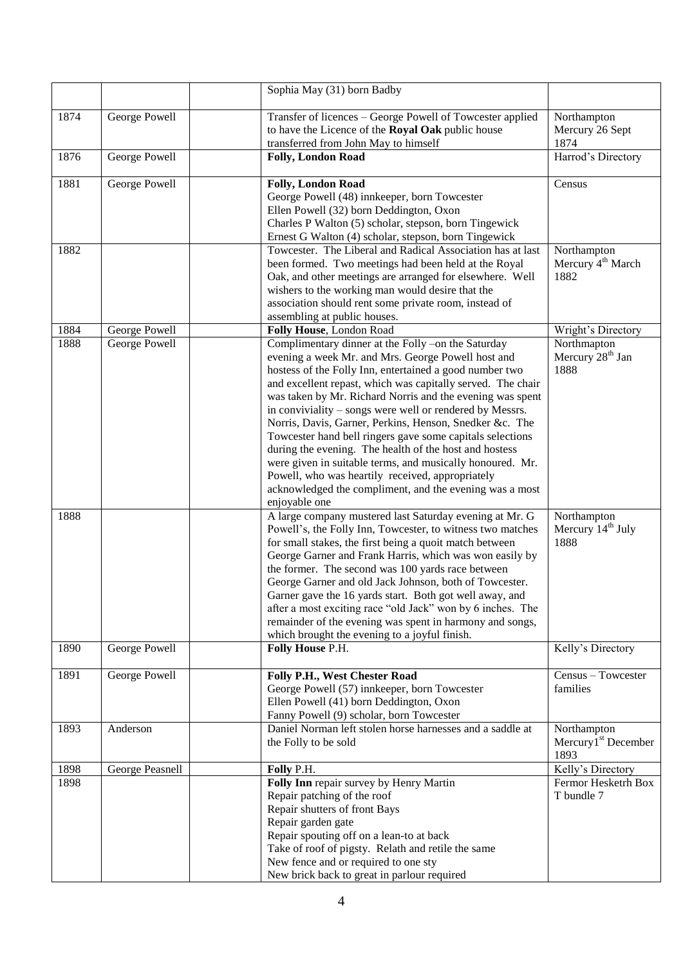|              |                 | Sophia May (31) born Badby                                                                                                                                                                                                                                                                                                                                                                                                                                                                                                                                                                                                                                                                                                                                                                                                                                                                                                                                                                                                                                                                                                                                                                                                        |                                                                                                   |
|--------------|-----------------|-----------------------------------------------------------------------------------------------------------------------------------------------------------------------------------------------------------------------------------------------------------------------------------------------------------------------------------------------------------------------------------------------------------------------------------------------------------------------------------------------------------------------------------------------------------------------------------------------------------------------------------------------------------------------------------------------------------------------------------------------------------------------------------------------------------------------------------------------------------------------------------------------------------------------------------------------------------------------------------------------------------------------------------------------------------------------------------------------------------------------------------------------------------------------------------------------------------------------------------|---------------------------------------------------------------------------------------------------|
| 1874         | George Powell   | Transfer of licences - George Powell of Towcester applied<br>to have the Licence of the Royal Oak public house<br>transferred from John May to himself                                                                                                                                                                                                                                                                                                                                                                                                                                                                                                                                                                                                                                                                                                                                                                                                                                                                                                                                                                                                                                                                            | Northampton<br>Mercury 26 Sept<br>1874                                                            |
| 1876         | George Powell   | Folly, London Road                                                                                                                                                                                                                                                                                                                                                                                                                                                                                                                                                                                                                                                                                                                                                                                                                                                                                                                                                                                                                                                                                                                                                                                                                | Harrod's Directory                                                                                |
| 1881         | George Powell   | <b>Folly, London Road</b><br>George Powell (48) innkeeper, born Towcester<br>Ellen Powell (32) born Deddington, Oxon<br>Charles P Walton (5) scholar, stepson, born Tingewick<br>Ernest G Walton (4) scholar, stepson, born Tingewick                                                                                                                                                                                                                                                                                                                                                                                                                                                                                                                                                                                                                                                                                                                                                                                                                                                                                                                                                                                             | Census                                                                                            |
| 1882         |                 | Towcester. The Liberal and Radical Association has at last<br>been formed. Two meetings had been held at the Royal<br>Oak, and other meetings are arranged for elsewhere. Well<br>wishers to the working man would desire that the<br>association should rent some private room, instead of<br>assembling at public houses.                                                                                                                                                                                                                                                                                                                                                                                                                                                                                                                                                                                                                                                                                                                                                                                                                                                                                                       | Northampton<br>Mercury 4 <sup>th</sup> March<br>1882                                              |
| 1884         | George Powell   | Folly House, London Road                                                                                                                                                                                                                                                                                                                                                                                                                                                                                                                                                                                                                                                                                                                                                                                                                                                                                                                                                                                                                                                                                                                                                                                                          | Wright's Directory                                                                                |
| 1888<br>1888 | George Powell   | Complimentary dinner at the Folly -on the Saturday<br>evening a week Mr. and Mrs. George Powell host and<br>hostess of the Folly Inn, entertained a good number two<br>and excellent repast, which was capitally served. The chair<br>was taken by Mr. Richard Norris and the evening was spent<br>in conviviality – songs were well or rendered by Messrs.<br>Norris, Davis, Garner, Perkins, Henson, Snedker &c. The<br>Towcester hand bell ringers gave some capitals selections<br>during the evening. The health of the host and hostess<br>were given in suitable terms, and musically honoured. Mr.<br>Powell, who was heartily received, appropriately<br>acknowledged the compliment, and the evening was a most<br>enjoyable one<br>A large company mustered last Saturday evening at Mr. G<br>Powell's, the Folly Inn, Towcester, to witness two matches<br>for small stakes, the first being a quoit match between<br>George Garner and Frank Harris, which was won easily by<br>the former. The second was 100 yards race between<br>George Garner and old Jack Johnson, both of Towcester.<br>Garner gave the 16 yards start. Both got well away, and<br>after a most exciting race "old Jack" won by 6 inches. The | Northmapton<br>Mercury 28 <sup>th</sup> Jan<br>1888<br>Northampton<br>Mercury $14th$ July<br>1888 |
|              |                 | remainder of the evening was spent in harmony and songs,<br>which brought the evening to a joyful finish.                                                                                                                                                                                                                                                                                                                                                                                                                                                                                                                                                                                                                                                                                                                                                                                                                                                                                                                                                                                                                                                                                                                         |                                                                                                   |
| 1890         | George Powell   | Folly House P.H.                                                                                                                                                                                                                                                                                                                                                                                                                                                                                                                                                                                                                                                                                                                                                                                                                                                                                                                                                                                                                                                                                                                                                                                                                  | Kelly's Directory                                                                                 |
| 1891         | George Powell   | Folly P.H., West Chester Road<br>George Powell (57) innkeeper, born Towcester<br>Ellen Powell (41) born Deddington, Oxon<br>Fanny Powell (9) scholar, born Towcester                                                                                                                                                                                                                                                                                                                                                                                                                                                                                                                                                                                                                                                                                                                                                                                                                                                                                                                                                                                                                                                              | Census - Towcester<br>families                                                                    |
| 1893         | Anderson        | Daniel Norman left stolen horse harnesses and a saddle at<br>the Folly to be sold                                                                                                                                                                                                                                                                                                                                                                                                                                                                                                                                                                                                                                                                                                                                                                                                                                                                                                                                                                                                                                                                                                                                                 | Northampton<br>Mercury <sup>1st</sup> December<br>1893                                            |
| 1898         | George Peasnell | Folly P.H.                                                                                                                                                                                                                                                                                                                                                                                                                                                                                                                                                                                                                                                                                                                                                                                                                                                                                                                                                                                                                                                                                                                                                                                                                        | Kelly's Directory                                                                                 |
| 1898         |                 | Folly Inn repair survey by Henry Martin<br>Repair patching of the roof<br>Repair shutters of front Bays<br>Repair garden gate<br>Repair spouting off on a lean-to at back<br>Take of roof of pigsty. Relath and retile the same<br>New fence and or required to one sty<br>New brick back to great in parlour required                                                                                                                                                                                                                                                                                                                                                                                                                                                                                                                                                                                                                                                                                                                                                                                                                                                                                                            | Fermor Hesketrh Box<br>T bundle 7                                                                 |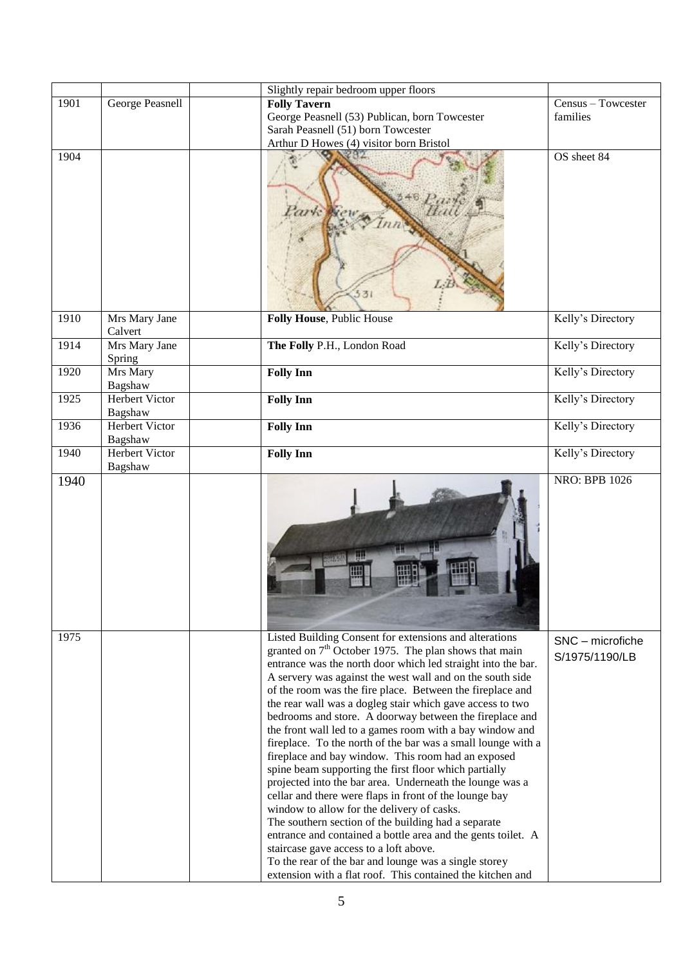|      |                                  | Slightly repair bedroom upper floors                                                                                                                                                                                                                                                                                                                                                                                                                                                                                                                                                                                                                                                                                                                                                                                                                                                                                                                                                                                                                                                                                                       |                                    |
|------|----------------------------------|--------------------------------------------------------------------------------------------------------------------------------------------------------------------------------------------------------------------------------------------------------------------------------------------------------------------------------------------------------------------------------------------------------------------------------------------------------------------------------------------------------------------------------------------------------------------------------------------------------------------------------------------------------------------------------------------------------------------------------------------------------------------------------------------------------------------------------------------------------------------------------------------------------------------------------------------------------------------------------------------------------------------------------------------------------------------------------------------------------------------------------------------|------------------------------------|
| 1901 | George Peasnell                  | <b>Folly Tavern</b>                                                                                                                                                                                                                                                                                                                                                                                                                                                                                                                                                                                                                                                                                                                                                                                                                                                                                                                                                                                                                                                                                                                        | Census - Towcester                 |
|      |                                  | George Peasnell (53) Publican, born Towcester                                                                                                                                                                                                                                                                                                                                                                                                                                                                                                                                                                                                                                                                                                                                                                                                                                                                                                                                                                                                                                                                                              | families                           |
|      |                                  | Sarah Peasnell (51) born Towcester                                                                                                                                                                                                                                                                                                                                                                                                                                                                                                                                                                                                                                                                                                                                                                                                                                                                                                                                                                                                                                                                                                         |                                    |
|      |                                  | Arthur D Howes (4) visitor born Bristol                                                                                                                                                                                                                                                                                                                                                                                                                                                                                                                                                                                                                                                                                                                                                                                                                                                                                                                                                                                                                                                                                                    |                                    |
| 1904 |                                  | 331                                                                                                                                                                                                                                                                                                                                                                                                                                                                                                                                                                                                                                                                                                                                                                                                                                                                                                                                                                                                                                                                                                                                        | OS sheet 84                        |
| 1910 | Mrs Mary Jane<br>Calvert         | Folly House, Public House                                                                                                                                                                                                                                                                                                                                                                                                                                                                                                                                                                                                                                                                                                                                                                                                                                                                                                                                                                                                                                                                                                                  | Kelly's Directory                  |
| 1914 | Mrs Mary Jane<br>Spring          | The Folly P.H., London Road                                                                                                                                                                                                                                                                                                                                                                                                                                                                                                                                                                                                                                                                                                                                                                                                                                                                                                                                                                                                                                                                                                                | Kelly's Directory                  |
| 1920 | Mrs Mary<br>Bagshaw              | <b>Folly Inn</b>                                                                                                                                                                                                                                                                                                                                                                                                                                                                                                                                                                                                                                                                                                                                                                                                                                                                                                                                                                                                                                                                                                                           | Kelly's Directory                  |
| 1925 | <b>Herbert Victor</b><br>Bagshaw | <b>Folly Inn</b>                                                                                                                                                                                                                                                                                                                                                                                                                                                                                                                                                                                                                                                                                                                                                                                                                                                                                                                                                                                                                                                                                                                           | Kelly's Directory                  |
| 1936 | <b>Herbert Victor</b><br>Bagshaw | <b>Folly Inn</b>                                                                                                                                                                                                                                                                                                                                                                                                                                                                                                                                                                                                                                                                                                                                                                                                                                                                                                                                                                                                                                                                                                                           | Kelly's Directory                  |
| 1940 | Herbert Victor<br>Bagshaw        | <b>Folly Inn</b>                                                                                                                                                                                                                                                                                                                                                                                                                                                                                                                                                                                                                                                                                                                                                                                                                                                                                                                                                                                                                                                                                                                           | Kelly's Directory                  |
| 1940 |                                  |                                                                                                                                                                                                                                                                                                                                                                                                                                                                                                                                                                                                                                                                                                                                                                                                                                                                                                                                                                                                                                                                                                                                            | <b>NRO: BPB 1026</b>               |
| 1975 |                                  | Listed Building Consent for extensions and alterations<br>granted on $7th$ October 1975. The plan shows that main<br>entrance was the north door which led straight into the bar.<br>A servery was against the west wall and on the south side<br>of the room was the fire place. Between the fireplace and<br>the rear wall was a dogleg stair which gave access to two<br>bedrooms and store. A doorway between the fireplace and<br>the front wall led to a games room with a bay window and<br>fireplace. To the north of the bar was a small lounge with a<br>fireplace and bay window. This room had an exposed<br>spine beam supporting the first floor which partially<br>projected into the bar area. Underneath the lounge was a<br>cellar and there were flaps in front of the lounge bay<br>window to allow for the delivery of casks.<br>The southern section of the building had a separate<br>entrance and contained a bottle area and the gents toilet. A<br>staircase gave access to a loft above.<br>To the rear of the bar and lounge was a single storey<br>extension with a flat roof. This contained the kitchen and | SNC - microfiche<br>S/1975/1190/LB |